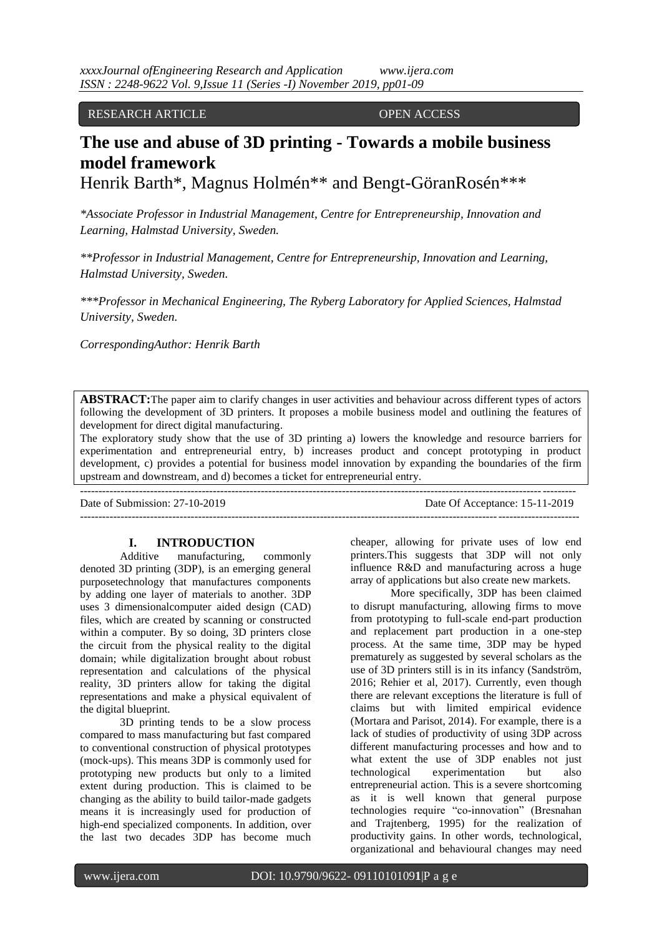#### RESEARCH ARTICLE OPEN ACCESS

# **The use and abuse of 3D printing - Towards a mobile business model framework**

Henrik Barth\*, Magnus Holmén\*\* and Bengt-GöranRosén\*\*\*

*\*Associate Professor in Industrial Management, Centre for Entrepreneurship, Innovation and Learning, Halmstad University, Sweden.*

*\*\*Professor in Industrial Management, Centre for Entrepreneurship, Innovation and Learning, Halmstad University, Sweden.*

*\*\*\*Professor in Mechanical Engineering, The Ryberg Laboratory for Applied Sciences, Halmstad University, Sweden.*

*CorrespondingAuthor: Henrik Barth*

**ABSTRACT:**The paper aim to clarify changes in user activities and behaviour across different types of actors following the development of 3D printers. It proposes a mobile business model and outlining the features of development for direct digital manufacturing.

The exploratory study show that the use of 3D printing a) lowers the knowledge and resource barriers for experimentation and entrepreneurial entry, b) increases product and concept prototyping in product development, c) provides a potential for business model innovation by expanding the boundaries of the firm upstream and downstream, and d) becomes a ticket for entrepreneurial entry.

Date of Submission: 27-10-2019 Date Of Acceptance: 15-11-2019  $-1\leq i\leq n-1$ 

## **I. INTRODUCTION**

--------------------------------------------------------------------------------------------------------------------------------------

Additive manufacturing, commonly denoted 3D printing (3DP), is an emerging general purposetechnology that manufactures components by adding one layer of materials to another. 3DP uses 3 dimensionalcomputer aided design (CAD) files, which are created by scanning or constructed within a computer. By so doing, 3D printers close the circuit from the physical reality to the digital domain; while digitalization brought about robust representation and calculations of the physical reality, 3D printers allow for taking the digital representations and make a physical equivalent of the digital blueprint.

3D printing tends to be a slow process compared to mass manufacturing but fast compared to conventional construction of physical prototypes (mock-ups). This means 3DP is commonly used for prototyping new products but only to a limited extent during production. This is claimed to be changing as the ability to build tailor-made gadgets means it is increasingly used for production of high-end specialized components. In addition, over the last two decades 3DP has become much

cheaper, allowing for private uses of low end printers.This suggests that 3DP will not only influence R&D and manufacturing across a huge array of applications but also create new markets.

More specifically, 3DP has been claimed to disrupt manufacturing, allowing firms to move from prototyping to full-scale end-part production and replacement part production in a one-step process. At the same time, 3DP may be hyped prematurely as suggested by several scholars as the use of 3D printers still is in its infancy (Sandström, 2016; Rehier et al, 2017). Currently, even though there are relevant exceptions the literature is full of claims but with limited empirical evidence (Mortara and Parisot, 2014). For example, there is a lack of studies of productivity of using 3DP across different manufacturing processes and how and to what extent the use of 3DP enables not just technological experimentation but also entrepreneurial action. This is a severe shortcoming as it is well known that general purpose technologies require "co-innovation" (Bresnahan and Trajtenberg, 1995) for the realization of productivity gains. In other words, technological, organizational and behavioural changes may need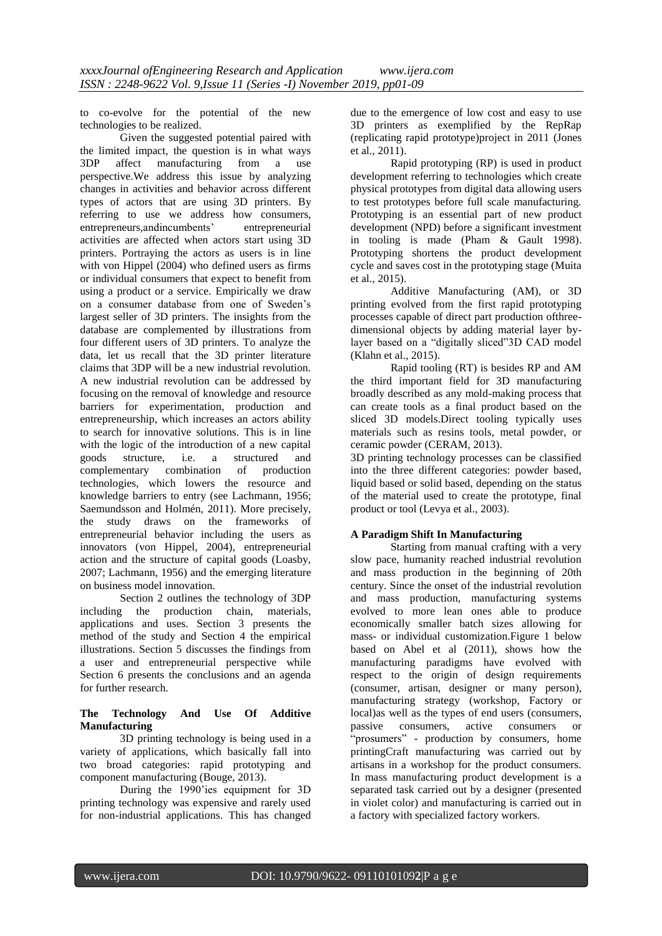to co-evolve for the potential of the new technologies to be realized.

Given the suggested potential paired with the limited impact, the question is in what ways 3DP affect manufacturing from a use perspective.We address this issue by analyzing changes in activities and behavior across different types of actors that are using 3D printers. By referring to use we address how consumers, entrepreneurs,andincumbents' entrepreneurial activities are affected when actors start using 3D printers. Portraying the actors as users is in line with von Hippel (2004) who defined users as firms or individual consumers that expect to benefit from using a product or a service. Empirically we draw on a consumer database from one of Sweden's largest seller of 3D printers. The insights from the database are complemented by illustrations from four different users of 3D printers. To analyze the data, let us recall that the 3D printer literature claims that 3DP will be a new industrial revolution. A new industrial revolution can be addressed by focusing on the removal of knowledge and resource barriers for experimentation, production and entrepreneurship, which increases an actors ability to search for innovative solutions. This is in line with the logic of the introduction of a new capital goods structure, i.e. a structured and complementary combination of production technologies, which lowers the resource and knowledge barriers to entry (see Lachmann, 1956; Saemundsson and Holmén, 2011). More precisely, the study draws on the frameworks of entrepreneurial behavior including the users as innovators (von Hippel, 2004), entrepreneurial action and the structure of capital goods (Loasby, 2007; Lachmann, 1956) and the emerging literature on business model innovation.

Section 2 outlines the technology of 3DP including the production chain, materials, applications and uses. Section 3 presents the method of the study and Section 4 the empirical illustrations. Section 5 discusses the findings from a user and entrepreneurial perspective while Section 6 presents the conclusions and an agenda for further research.

### **The Technology And Use Of Additive Manufacturing**

3D printing technology is being used in a variety of applications, which basically fall into two broad categories: rapid prototyping and component manufacturing (Bouge, 2013).

During the 1990'ies equipment for 3D printing technology was expensive and rarely used for non-industrial applications. This has changed due to the emergence of low cost and easy to use 3D printers as exemplified by the RepRap (replicating rapid prototype)project in 2011 (Jones et al., 2011).

Rapid prototyping (RP) is used in product development referring to technologies which create physical prototypes from digital data allowing users to test prototypes before full scale manufacturing. Prototyping is an essential part of new product development (NPD) before a significant investment in tooling is made (Pham & Gault 1998). Prototyping shortens the product development cycle and saves cost in the prototyping stage (Muita et al., 2015).

Additive Manufacturing (AM), or 3D printing evolved from the first rapid prototyping processes capable of direct part production ofthreedimensional objects by adding material layer bylayer based on a "digitally sliced"3D CAD model (Klahn et al., 2015).

Rapid tooling (RT) is besides RP and AM the third important field for 3D manufacturing broadly described as any mold-making process that can create tools as a final product based on the sliced 3D models.Direct tooling typically uses materials such as resins tools, metal powder, or ceramic powder (CERAM, 2013).

3D printing technology processes can be classified into the three different categories: powder based, liquid based or solid based, depending on the status of the material used to create the prototype, final product or tool (Levya et al., 2003).

# **A Paradigm Shift In Manufacturing**

Starting from manual crafting with a very slow pace, humanity reached industrial revolution and mass production in the beginning of 20th century. Since the onset of the industrial revolution and mass production, manufacturing systems evolved to more lean ones able to produce economically smaller batch sizes allowing for mass- or individual customization.Figure 1 below based on Abel et al (2011), shows how the manufacturing paradigms have evolved with respect to the origin of design requirements (consumer, artisan, designer or many person), manufacturing strategy (workshop, Factory or local)as well as the types of end users (consumers, passive consumers, active consumers or "prosumers" - production by consumers, home printingCraft manufacturing was carried out by artisans in a workshop for the product consumers. In mass manufacturing product development is a separated task carried out by a designer (presented in violet color) and manufacturing is carried out in a factory with specialized factory workers.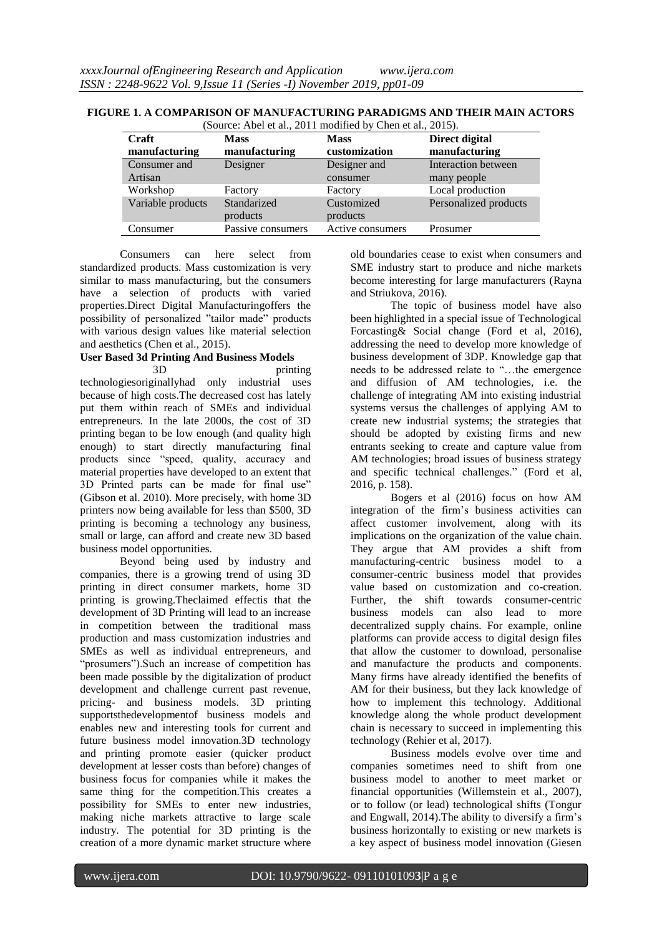| <b>Craft</b><br>manufacturing | <b>Mass</b><br>manufacturing | <b>Mass</b><br>customization | Direct digital<br>manufacturing |
|-------------------------------|------------------------------|------------------------------|---------------------------------|
| Consumer and                  | Designer                     | Designer and                 | <b>Interaction between</b>      |
| Artisan                       |                              | consumer                     | many people                     |
| Workshop                      | Factory                      | Factory                      | Local production                |
| Variable products             | Standarized<br>products      | Customized<br>products       | Personalized products           |
| Consumer                      | Passive consumers            | Active consumers             | Prosumer                        |

**FIGURE 1. A COMPARISON OF MANUFACTURING PARADIGMS AND THEIR MAIN ACTORS** (Source: Abel et al., 2011 modified by Chen et al., 2015).

Consumers can here select from standardized products. Mass customization is very similar to mass manufacturing, but the consumers have a selection of products with varied properties.Direct Digital Manufacturingoffers the possibility of personalized "tailor made" products with various design values like material selection and aesthetics (Chen et al., 2015).

#### **User Based 3d Printing And Business Models** 3D printing

technologiesoriginallyhad only industrial uses because of high costs.The decreased cost has lately put them within reach of SMEs and individual entrepreneurs. In the late 2000s, the cost of 3D printing began to be low enough (and quality high enough) to start directly manufacturing final products since "speed, quality, accuracy and material properties have developed to an extent that 3D Printed parts can be made for final use" (Gibson et al. 2010). More precisely, with home 3D printers now being available for less than \$500, 3D printing is becoming a technology any business, small or large, can afford and create new 3D based business model opportunities.

Beyond being used by industry and companies, there is a growing trend of using 3D printing in direct consumer markets, home 3D printing is growing.Theclaimed effectis that the development of 3D Printing will lead to an increase in competition between the traditional mass production and mass customization industries and SMEs as well as individual entrepreneurs, and "prosumers").Such an increase of competition has been made possible by the digitalization of product development and challenge current past revenue, pricing- and business models. 3D printing supportsthedevelopmentof business models and enables new and interesting tools for current and future business model innovation.3D technology and printing promote easier (quicker product development at lesser costs than before) changes of business focus for companies while it makes the same thing for the competition.This creates a possibility for SMEs to enter new industries, making niche markets attractive to large scale industry. The potential for 3D printing is the creation of a more dynamic market structure where

old boundaries cease to exist when consumers and SME industry start to produce and niche markets become interesting for large manufacturers (Rayna and Striukova, 2016).

The topic of business model have also been highlighted in a special issue of Technological Forcasting& Social change (Ford et al, 2016), addressing the need to develop more knowledge of business development of 3DP. Knowledge gap that needs to be addressed relate to "…the emergence and diffusion of AM technologies, i.e. the challenge of integrating AM into existing industrial systems versus the challenges of applying AM to create new industrial systems; the strategies that should be adopted by existing firms and new entrants seeking to create and capture value from AM technologies; broad issues of business strategy and specific technical challenges." (Ford et al, 2016, p. 158).

Bogers et al (2016) focus on how AM integration of the firm's business activities can affect customer involvement, along with its implications on the organization of the value chain. They argue that AM provides a shift from manufacturing-centric business model to a consumer-centric business model that provides value based on customization and co-creation. Further, the shift towards consumer-centric business models can also lead to more decentralized supply chains. For example, online platforms can provide access to digital design files that allow the customer to download, personalise and manufacture the products and components. Many firms have already identified the benefits of AM for their business, but they lack knowledge of how to implement this technology. Additional knowledge along the whole product development chain is necessary to succeed in implementing this technology (Rehier et al, 2017).

Business models evolve over time and companies sometimes need to shift from one business model to another to meet market or financial opportunities (Willemstein et al., 2007), or to follow (or lead) technological shifts (Tongur and Engwall, 2014).The ability to diversify a firm's business horizontally to existing or new markets is a key aspect of business model innovation (Giesen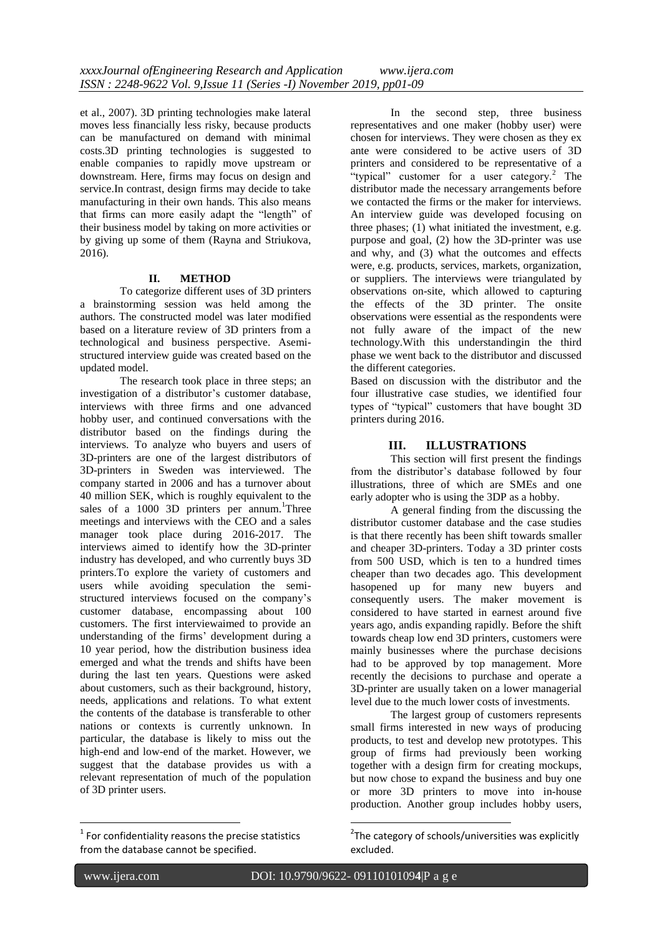et al., 2007). 3D printing technologies make lateral moves less financially less risky, because products can be manufactured on demand with minimal costs.3D printing technologies is suggested to enable companies to rapidly move upstream or downstream. Here, firms may focus on design and service.In contrast, design firms may decide to take manufacturing in their own hands. This also means that firms can more easily adapt the "length" of their business model by taking on more activities or by giving up some of them (Rayna and Striukova, 2016).

#### **II. METHOD**

To categorize different uses of 3D printers a brainstorming session was held among the authors. The constructed model was later modified based on a literature review of 3D printers from a technological and business perspective. Asemistructured interview guide was created based on the updated model.

The research took place in three steps; an investigation of a distributor's customer database, interviews with three firms and one advanced hobby user, and continued conversations with the distributor based on the findings during the interviews. To analyze who buyers and users of 3D-printers are one of the largest distributors of 3D-printers in Sweden was interviewed. The company started in 2006 and has a turnover about 40 million SEK, which is roughly equivalent to the sales of a 1000 3D printers per annum.<sup>1</sup>Three meetings and interviews with the CEO and a sales manager took place during 2016-2017. The interviews aimed to identify how the 3D-printer industry has developed, and who currently buys 3D printers.To explore the variety of customers and users while avoiding speculation the semistructured interviews focused on the company's customer database, encompassing about 100 customers. The first interviewaimed to provide an understanding of the firms' development during a 10 year period, how the distribution business idea emerged and what the trends and shifts have been during the last ten years. Questions were asked about customers, such as their background, history, needs, applications and relations. To what extent the contents of the database is transferable to other nations or contexts is currently unknown. In particular, the database is likely to miss out the high-end and low-end of the market. However, we suggest that the database provides us with a relevant representation of much of the population of 3D printer users.

In the second step, three business representatives and one maker (hobby user) were chosen for interviews. They were chosen as they ex ante were considered to be active users of 3D printers and considered to be representative of a "typical" customer for a user category.<sup>2</sup> The distributor made the necessary arrangements before we contacted the firms or the maker for interviews. An interview guide was developed focusing on three phases; (1) what initiated the investment, e.g. purpose and goal, (2) how the 3D-printer was use and why, and (3) what the outcomes and effects were, e.g. products, services, markets, organization, or suppliers. The interviews were triangulated by observations on-site, which allowed to capturing the effects of the 3D printer. The onsite observations were essential as the respondents were not fully aware of the impact of the new technology.With this understandingin the third phase we went back to the distributor and discussed the different categories.

Based on discussion with the distributor and the four illustrative case studies, we identified four types of "typical" customers that have bought 3D printers during 2016.

# **III. ILLUSTRATIONS**

This section will first present the findings from the distributor's database followed by four illustrations, three of which are SMEs and one early adopter who is using the 3DP as a hobby.

A general finding from the discussing the distributor customer database and the case studies is that there recently has been shift towards smaller and cheaper 3D-printers. Today a 3D printer costs from 500 USD, which is ten to a hundred times cheaper than two decades ago. This development hasopened up for many new buyers and consequently users. The maker movement is considered to have started in earnest around five years ago, andis expanding rapidly. Before the shift towards cheap low end 3D printers, customers were mainly businesses where the purchase decisions had to be approved by top management. More recently the decisions to purchase and operate a 3D-printer are usually taken on a lower managerial level due to the much lower costs of investments.

The largest group of customers represents small firms interested in new ways of producing products, to test and develop new prototypes. This group of firms had previously been working together with a design firm for creating mockups, but now chose to expand the business and buy one or more 3D printers to move into in-house production. Another group includes hobby users,

1

1

 $1$  For confidentiality reasons the precise statistics from the database cannot be specified.

<sup>&</sup>lt;sup>2</sup>The category of schools/universities was explicitly excluded.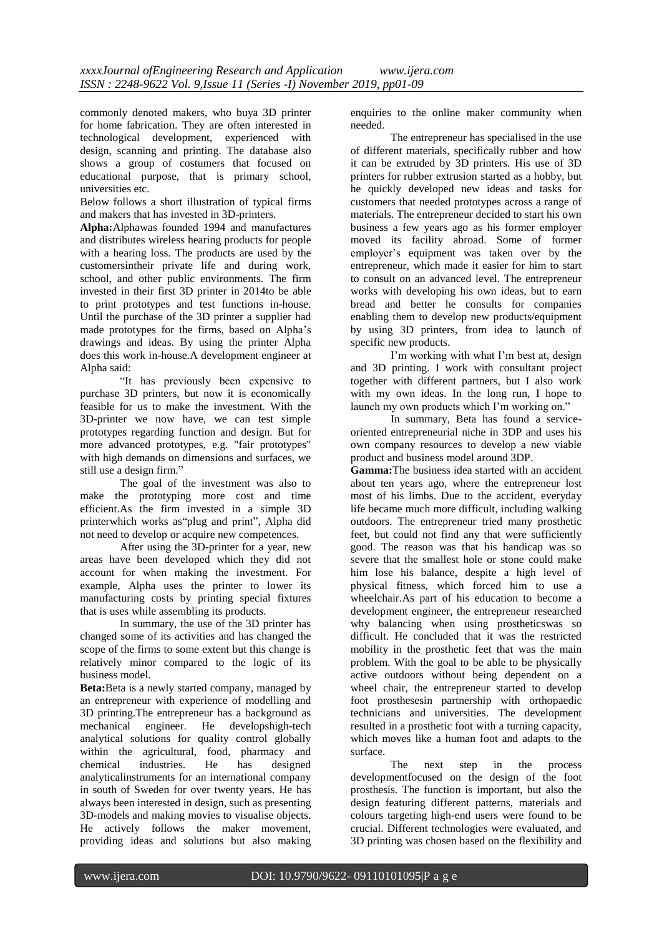commonly denoted makers, who buya 3D printer for home fabrication. They are often interested in technological development, experienced with design, scanning and printing. The database also shows a group of costumers that focused on educational purpose, that is primary school, universities etc.

Below follows a short illustration of typical firms and makers that has invested in 3D-printers.

**Alpha:**Alphawas founded 1994 and manufactures and distributes wireless hearing products for people with a hearing loss. The products are used by the customersintheir private life and during work, school, and other public environments. The firm invested in their first 3D printer in 2014to be able to print prototypes and test functions in-house. Until the purchase of the 3D printer a supplier had made prototypes for the firms, based on Alpha's drawings and ideas. By using the printer Alpha does this work in-house.A development engineer at Alpha said:

"It has previously been expensive to purchase 3D printers, but now it is economically feasible for us to make the investment. With the 3D-printer we now have, we can test simple prototypes regarding function and design. But for more advanced prototypes, e.g. "fair prototypes" with high demands on dimensions and surfaces, we still use a design firm."

The goal of the investment was also to make the prototyping more cost and time efficient.As the firm invested in a simple 3D printerwhich works as"plug and print", Alpha did not need to develop or acquire new competences.

After using the 3D-printer for a year, new areas have been developed which they did not account for when making the investment. For example, Alpha uses the printer to lower its manufacturing costs by printing special fixtures that is uses while assembling its products.

In summary, the use of the 3D printer has changed some of its activities and has changed the scope of the firms to some extent but this change is relatively minor compared to the logic of its business model.

**Beta:**Beta is a newly started company, managed by an entrepreneur with experience of modelling and 3D printing.The entrepreneur has a background as mechanical engineer. He developshigh-tech analytical solutions for quality control globally within the agricultural, food, pharmacy and chemical industries. He has designed analyticalinstruments for an international company in south of Sweden for over twenty years. He has always been interested in design, such as presenting 3D-models and making movies to visualise objects. He actively follows the maker movement, providing ideas and solutions but also making enquiries to the online maker community when needed.

The entrepreneur has specialised in the use of different materials, specifically rubber and how it can be extruded by 3D printers. His use of 3D printers for rubber extrusion started as a hobby, but he quickly developed new ideas and tasks for customers that needed prototypes across a range of materials. The entrepreneur decided to start his own business a few years ago as his former employer moved its facility abroad. Some of former employer's equipment was taken over by the entrepreneur, which made it easier for him to start to consult on an advanced level. The entrepreneur works with developing his own ideas, but to earn bread and better he consults for companies enabling them to develop new products/equipment by using 3D printers, from idea to launch of specific new products.

I'm working with what I'm best at, design and 3D printing. I work with consultant project together with different partners, but I also work with my own ideas. In the long run, I hope to launch my own products which I'm working on."

In summary, Beta has found a serviceoriented entrepreneurial niche in 3DP and uses his own company resources to develop a new viable product and business model around 3DP.

**Gamma:**The business idea started with an accident about ten years ago, where the entrepreneur lost most of his limbs. Due to the accident, everyday life became much more difficult, including walking outdoors. The entrepreneur tried many prosthetic feet, but could not find any that were sufficiently good. The reason was that his handicap was so severe that the smallest hole or stone could make him lose his balance, despite a high level of physical fitness, which forced him to use a wheelchair.As part of his education to become a development engineer, the entrepreneur researched why balancing when using prostheticswas so difficult. He concluded that it was the restricted mobility in the prosthetic feet that was the main problem. With the goal to be able to be physically active outdoors without being dependent on a wheel chair, the entrepreneur started to develop foot prosthesesin partnership with orthopaedic technicians and universities. The development resulted in a prosthetic foot with a turning capacity, which moves like a human foot and adapts to the surface.

The next step in the process developmentfocused on the design of the foot prosthesis. The function is important, but also the design featuring different patterns, materials and colours targeting high-end users were found to be crucial. Different technologies were evaluated, and 3D printing was chosen based on the flexibility and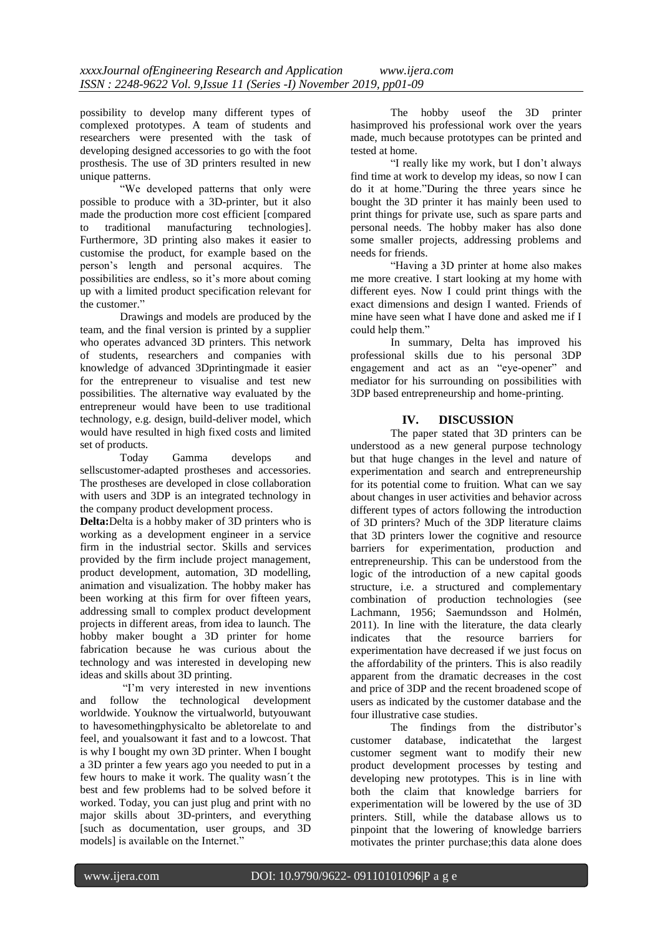possibility to develop many different types of complexed prototypes. A team of students and researchers were presented with the task of developing designed accessories to go with the foot prosthesis. The use of 3D printers resulted in new unique patterns.

"We developed patterns that only were possible to produce with a 3D-printer, but it also made the production more cost efficient [compared to traditional manufacturing technologies]. Furthermore, 3D printing also makes it easier to customise the product, for example based on the person's length and personal acquires. The possibilities are endless, so it's more about coming up with a limited product specification relevant for the customer."

Drawings and models are produced by the team, and the final version is printed by a supplier who operates advanced 3D printers. This network of students, researchers and companies with knowledge of advanced 3Dprintingmade it easier for the entrepreneur to visualise and test new possibilities. The alternative way evaluated by the entrepreneur would have been to use traditional technology, e.g. design, build-deliver model, which would have resulted in high fixed costs and limited set of products.

Today Gamma develops and sellscustomer-adapted prostheses and accessories. The prostheses are developed in close collaboration with users and 3DP is an integrated technology in the company product development process.

**Delta:**Delta is a hobby maker of 3D printers who is working as a development engineer in a service firm in the industrial sector. Skills and services provided by the firm include project management, product development, automation, 3D modelling, animation and visualization. The hobby maker has been working at this firm for over fifteen years, addressing small to complex product development projects in different areas, from idea to launch. The hobby maker bought a 3D printer for home fabrication because he was curious about the technology and was interested in developing new ideas and skills about 3D printing.

"I'm very interested in new inventions and follow the technological development worldwide. Youknow the virtualworld, butyouwant to havesomethingphysicalto be abletorelate to and feel, and youalsowant it fast and to a lowcost. That is why I bought my own 3D printer. When I bought a 3D printer a few years ago you needed to put in a few hours to make it work. The quality wasn´t the best and few problems had to be solved before it worked. Today, you can just plug and print with no major skills about 3D-printers, and everything [such as documentation, user groups, and 3D models] is available on the Internet."

The hobby useof the 3D printer hasimproved his professional work over the years made, much because prototypes can be printed and tested at home.

"I really like my work, but I don't always find time at work to develop my ideas, so now I can do it at home."During the three years since he bought the 3D printer it has mainly been used to print things for private use, such as spare parts and personal needs. The hobby maker has also done some smaller projects, addressing problems and needs for friends.

"Having a 3D printer at home also makes me more creative. I start looking at my home with different eyes. Now I could print things with the exact dimensions and design I wanted. Friends of mine have seen what I have done and asked me if I could help them."

In summary, Delta has improved his professional skills due to his personal 3DP engagement and act as an "eye-opener" and mediator for his surrounding on possibilities with 3DP based entrepreneurship and home-printing.

# **IV. DISCUSSION**

The paper stated that 3D printers can be understood as a new general purpose technology but that huge changes in the level and nature of experimentation and search and entrepreneurship for its potential come to fruition. What can we say about changes in user activities and behavior across different types of actors following the introduction of 3D printers? Much of the 3DP literature claims that 3D printers lower the cognitive and resource barriers for experimentation, production and entrepreneurship. This can be understood from the logic of the introduction of a new capital goods structure, i.e. a structured and complementary combination of production technologies (see Lachmann, 1956; Saemundsson and Holmén, 2011). In line with the literature, the data clearly indicates that the resource barriers for experimentation have decreased if we just focus on the affordability of the printers. This is also readily apparent from the dramatic decreases in the cost and price of 3DP and the recent broadened scope of users as indicated by the customer database and the four illustrative case studies.

The findings from the distributor's customer database, indicatethat the largest customer segment want to modify their new product development processes by testing and developing new prototypes. This is in line with both the claim that knowledge barriers for experimentation will be lowered by the use of 3D printers. Still, while the database allows us to pinpoint that the lowering of knowledge barriers motivates the printer purchase;this data alone does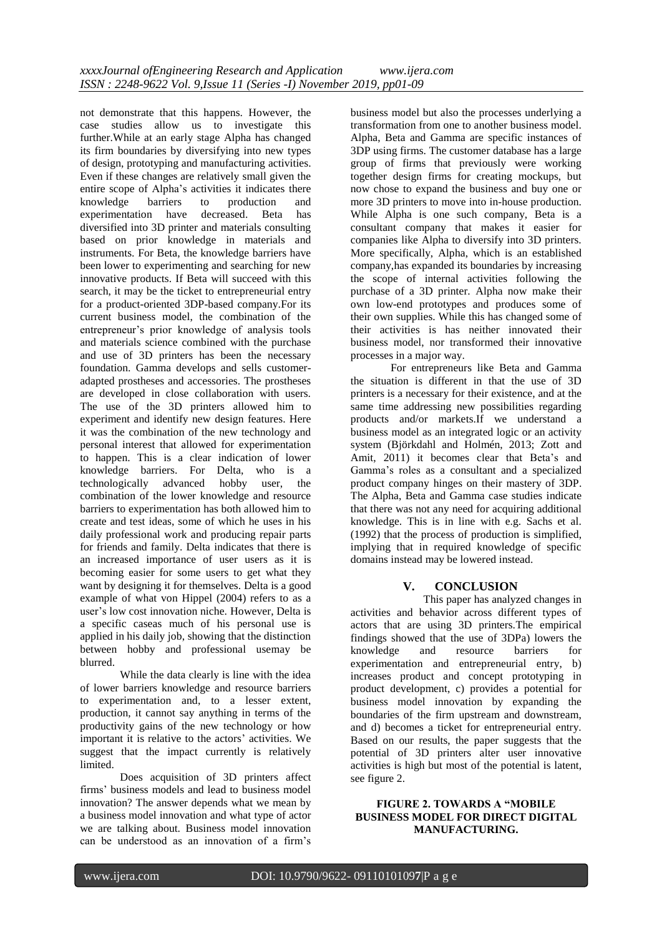not demonstrate that this happens. However, the case studies allow us to investigate this further.While at an early stage Alpha has changed its firm boundaries by diversifying into new types of design, prototyping and manufacturing activities. Even if these changes are relatively small given the entire scope of Alpha's activities it indicates there knowledge barriers to production and experimentation have decreased. Beta has diversified into 3D printer and materials consulting based on prior knowledge in materials and instruments. For Beta, the knowledge barriers have been lower to experimenting and searching for new innovative products. If Beta will succeed with this search, it may be the ticket to entrepreneurial entry for a product-oriented 3DP-based company.For its current business model, the combination of the entrepreneur's prior knowledge of analysis tools and materials science combined with the purchase and use of 3D printers has been the necessary foundation. Gamma develops and sells customeradapted prostheses and accessories. The prostheses are developed in close collaboration with users. The use of the 3D printers allowed him to experiment and identify new design features. Here it was the combination of the new technology and personal interest that allowed for experimentation to happen. This is a clear indication of lower knowledge barriers. For Delta, who is a advanced hobby user, the combination of the lower knowledge and resource barriers to experimentation has both allowed him to create and test ideas, some of which he uses in his daily professional work and producing repair parts for friends and family. Delta indicates that there is an increased importance of user users as it is becoming easier for some users to get what they want by designing it for themselves. Delta is a good example of what von Hippel (2004) refers to as a user's low cost innovation niche. However, Delta is a specific caseas much of his personal use is applied in his daily job, showing that the distinction between hobby and professional usemay be blurred.

While the data clearly is line with the idea of lower barriers knowledge and resource barriers to experimentation and, to a lesser extent, production, it cannot say anything in terms of the productivity gains of the new technology or how important it is relative to the actors' activities. We suggest that the impact currently is relatively limited.

Does acquisition of 3D printers affect firms' business models and lead to business model innovation? The answer depends what we mean by a business model innovation and what type of actor we are talking about. Business model innovation can be understood as an innovation of a firm's

business model but also the processes underlying a transformation from one to another business model. Alpha, Beta and Gamma are specific instances of 3DP using firms. The customer database has a large group of firms that previously were working together design firms for creating mockups, but now chose to expand the business and buy one or more 3D printers to move into in-house production. While Alpha is one such company, Beta is a consultant company that makes it easier for companies like Alpha to diversify into 3D printers. More specifically, Alpha, which is an established company,has expanded its boundaries by increasing the scope of internal activities following the purchase of a 3D printer. Alpha now make their own low-end prototypes and produces some of their own supplies. While this has changed some of their activities is has neither innovated their business model, nor transformed their innovative processes in a major way.

For entrepreneurs like Beta and Gamma the situation is different in that the use of 3D printers is a necessary for their existence, and at the same time addressing new possibilities regarding products and/or markets.If we understand a business model as an integrated logic or an activity system (Björkdahl and Holmén, 2013; Zott and Amit, 2011) it becomes clear that Beta's and Gamma's roles as a consultant and a specialized product company hinges on their mastery of 3DP. The Alpha, Beta and Gamma case studies indicate that there was not any need for acquiring additional knowledge. This is in line with e.g. Sachs et al. (1992) that the process of production is simplified, implying that in required knowledge of specific domains instead may be lowered instead.

# **V. CONCLUSION**

This paper has analyzed changes in activities and behavior across different types of actors that are using 3D printers.The empirical findings showed that the use of 3DPa) lowers the<br>knowledge and resource barriers for knowledge and resource barriers for experimentation and entrepreneurial entry, b) increases product and concept prototyping in product development, c) provides a potential for business model innovation by expanding the boundaries of the firm upstream and downstream, and d) becomes a ticket for entrepreneurial entry. Based on our results, the paper suggests that the potential of 3D printers alter user innovative activities is high but most of the potential is latent, see figure 2.

#### **FIGURE 2. TOWARDS A "MOBILE BUSINESS MODEL FOR DIRECT DIGITAL MANUFACTURING.**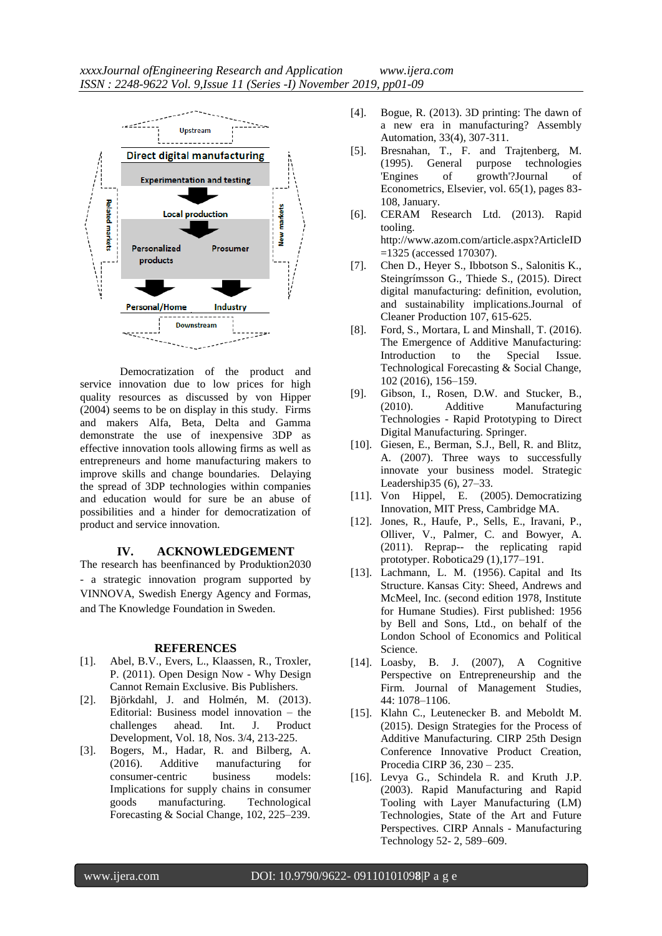

Democratization of the product and service innovation due to low prices for high quality resources as discussed by von Hipper (2004) seems to be on display in this study. Firms and makers Alfa, Beta, Delta and Gamma demonstrate the use of inexpensive 3DP as effective innovation tools allowing firms as well as entrepreneurs and home manufacturing makers to improve skills and change boundaries. Delaying the spread of 3DP technologies within companies and education would for sure be an abuse of possibilities and a hinder for democratization of product and service innovation.

#### **IV. ACKNOWLEDGEMENT**

The research has beenfinanced by Produktion2030 - a strategic innovation program supported by VINNOVA, Swedish Energy Agency and Formas, and The Knowledge Foundation in Sweden.

#### **REFERENCES**

- [1]. Abel, B.V., Evers, L., Klaassen, R., Troxler, P. (2011). Open Design Now - Why Design Cannot Remain Exclusive. Bis Publishers.
- [2]. Björkdahl, J. and Holmén, M. (2013). Editorial: Business model innovation – the challenges ahead. Int. J. Product Development, Vol. 18, Nos. 3/4, 213-225.
- [3]. Bogers, M., Hadar, R. and Bilberg, A. (2016). Additive manufacturing for consumer-centric business models: Implications for supply chains in consumer goods manufacturing. Technological Forecasting & Social Change, 102, 225–239.
- [4]. Bogue, R. (2013). 3D printing: The dawn of a new era in manufacturing? Assembly Automation, 33(4), 307-311.
- [5]. Bresnahan, T., F. and Trajtenberg, M. (1995). [General purpose technologies](https://ideas.repec.org/a/eee/econom/v65y1995i1p83-108.html)  ['Engines of growth'?Journal of](https://ideas.repec.org/a/eee/econom/v65y1995i1p83-108.html)  Econometrics, Elsevier, vol. 65(1), pages 83- 108, January.
- [6]. CERAM Research Ltd. (2013). Rapid tooling. [http://www.azom.com/article.aspx?ArticleID](http://www.azom.com/article.aspx?ArticleID=1325)
- [=1325](http://www.azom.com/article.aspx?ArticleID=1325) (accessed 170307). [7]. Chen D., Heyer S., Ibbotson S., Salonitis K., Steingrímsson G., Thiede S., (2015). Direct digital manufacturing: definition, evolution, and sustainability implications.Journal of Cleaner Production 107, 615-625.
- [8]. Ford, S., Mortara, L and Minshall, T. (2016). The Emergence of Additive Manufacturing: Introduction to the Special Issue. Technological Forecasting & Social Change, 102 (2016), 156–159.
- [9]. Gibson, I., Rosen, D.W. and Stucker, B., (2010). Additive Manufacturing Technologies - Rapid Prototyping to Direct Digital Manufacturing. Springer.
- [10]. Giesen, E., Berman, S.J., Bell, R. and Blitz, A. (2007). Three ways to successfully innovate your business model. Strategic Leadership35 (6), 27–33.
- [11]. Von Hippel, E. (2005). Democratizing Innovation, MIT Press, Cambridge MA.
- [12]. Jones, R., Haufe, P., Sells, E., Iravani, P., Olliver, V., Palmer, C. and Bowyer, A. (2011). Reprap-- the replicating rapid prototyper. Robotica29 (1),177–191.
- [13]. Lachmann, L. M. (1956). [Capital and Its](http://www.econlib.org/library/NPDBooks/Lachmann/lchmCStoc.html)  [Structure.](http://www.econlib.org/library/NPDBooks/Lachmann/lchmCStoc.html) Kansas City: Sheed, Andrews and McMeel, Inc. (second edition 1978, Institute for Humane Studies). First published: 1956 by Bell and Sons, Ltd., on behalf of the London School of Economics and Political Science.
- [14]. Loasby, B. J. (2007), A Cognitive Perspective on Entrepreneurship and the Firm. Journal of Management Studies, 44: 1078–1106.
- [15]. Klahn C., Leutenecker B. and Meboldt M. (2015). Design Strategies for the Process of Additive Manufacturing. CIRP 25th Design Conference Innovative Product Creation, Procedia CIRP 36, 230 – 235.
- [16]. Levya G., Schindela R. and Kruth J.P. (2003). Rapid Manufacturing and Rapid Tooling with Layer Manufacturing (LM) Technologies, State of the Art and Future Perspectives. CIRP Annals - Manufacturing Technology 52- 2, 589–609.